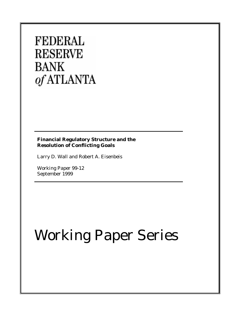## **FEDERAL RESERVE BANK** of ATLANTA

**Financial Regulatory Structure and the Resolution of Conflicting Goals**

Larry D. Wall and Robert A. Eisenbeis

Working Paper 99-12 September 1999

# Working Paper Series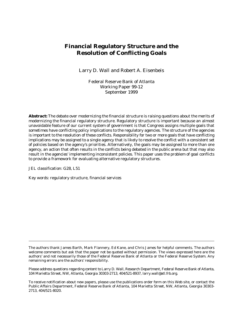### **Financial Regulatory Structure and the Resolution of Conflicting Goals**

Larry D. Wall and Robert A. Eisenbeis

Federal Reserve Bank of Atlanta Working Paper 99-12 September 1999

**Abstract:** The debate over modernizing the financial structure is raising questions about the merits of modernizing the financial regulatory structure. Regulatory structure is important because an almost unavoidable feature of our current system of government is that Congress assigns multiple goals that sometimes have conflicting policy implications to the regulatory agencies. The structure of the agencies is important to the resolution of these conflicts. Responsibility for two or more goals that have conflicting implications may be assigned to a single agency that is likely to resolve the conflict with a consistent set of policies based on the agency's priorities. Alternatively, the goals may be assigned to more than one agency, an action that often results in the conflicts being debated in the public arena but that may also result in the agencies' implementing inconsistent policies. This paper uses the problem of goal conflicts to provide a framework for evaluating alternative regulatory structures.

JEL classification: G28, L51

Key words: regulatory structure, financial services

The authors thank James Barth, Mark Flannery, Ed Kane, and Chris James for helpful comments. The authors welcome comments but ask that the paper not be quoted without permission. The views expressed here are the authors' and not necessarily those of the Federal Reserve Bank of Atlanta or the Federal Reserve System. Any remaining errors are the authors' responsibility.

Please address questions regarding content to Larry D. Wall, Research Department, Federal Reserve Bank of Atlanta, 104 Marietta Street, NW, Atlanta, Georgia 30303-2713, 404/521-8937, larry.wall@atl.frb.org.

To receive notification about new papers, please use the publications order form on this Web site, or contact the Public Affairs Department, Federal Reserve Bank of Atlanta, 104 Marietta Street, NW, Atlanta, Georgia 30303- 2713, 404/521-8020.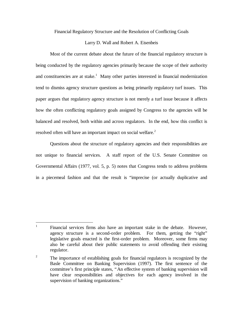Financial Regulatory Structure and the Resolution of Conflicting Goals

#### Larry D. Wall and Robert A. Eisenbeis

Most of the current debate about the future of the financial regulatory structure is being conducted by the regulatory agencies primarily because the scope of their authority and constituencies are at stake.<sup>1</sup> Many other parties interested in financial modernization tend to dismiss agency structure questions as being primarily regulatory turf issues. This paper argues that regulatory agency structure is not merely a turf issue because it affects how the often conflicting regulatory goals assigned by Congress to the agencies will be balanced and resolved, both within and across regulators. In the end, how this conflict is resolved often will have an important impact on social welfare.<sup>2</sup>

Questions about the structure of regulatory agencies and their responsibilities are not unique to financial services. A staff report of the U.S. Senate Committee on Governmental Affairs (1977, vol. 5, p. 5) notes that Congress tends to address problems in a piecemeal fashion and that the result is "imprecise (or actually duplicative and

 $\frac{1}{1}$ Financial services firms also have an important stake in the debate. However, agency structure is a second-order problem. For them, getting the "right" legislative goals enacted is the first-order problem. Moreover, some firms may also be careful about their public statements to avoid offending their existing regulator.

<sup>&</sup>lt;sup>2</sup> The importance of establishing goals for financial regulators is recognized by the Basle Committee on Banking Supervision (1997). The first sentence of the committee's first principle states, "An effective system of banking supervision will have clear responsibilities and objectives for each agency involved in the supervision of banking organizations."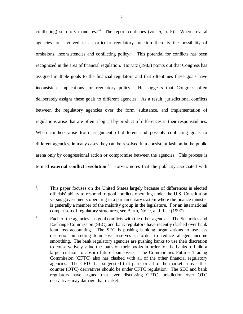conflicting) statutory mandates."<sup>3</sup> The report continues (vol. 5, p. 5): "Where several agencies are involved in a particular regulatory function there is the possibility of omissions, inconsistencies and conflicting policy." This potential for conflicts has been recognized in the area of financial regulation. Horvitz (1983) points out that Congress has assigned multiple goals to the financial regulators and that oftentimes these goals have inconsistent implications for regulatory policy. He suggests that Congress often deliberately assigns these goals to different agencies. As a result, jurisdictional conflicts between the regulatory agencies over the form, substance, and implementation of regulations arise that are often a logical by-product of differences in their responsibilities. When conflicts arise from assignment of different and possibly conflicting goals to different agencies, in many cases they can be resolved in a consistent fashion in the public arena only by congressional action or compromise between the agencies. This process is termed **external conflict resolution**. 4 Horvitz notes that the publicity associated with

<u>.</u>

<sup>3</sup> . This paper focuses on the United States largely because of differences in elected officials' ability to respond to goal conflicts operating under the U.S. Constitution versus governments operating in a parliamentary system where the finance minister is generally a member of the majority group in the legislature. For an international comparison of regulatory structures, see Barth, Nolle, and Rice (1997).

<sup>4</sup> . Each of the agencies has goal conflicts with the other agencies. The Securities and Exchange Commission (SEC) and bank regulators have recently clashed over bank loan loss accounting. The SEC is pushing banking organizations to use less discretion in setting loan loss reserves in order to reduce alleged income smoothing. The bank regulatory agencies are pushing banks to use their discretion to conservatively value the loans on their books in order for the banks to build a larger cushion to absorb future loan losses. The Commodities Futures Trading Commission (CFTC) also has clashed with all of the other financial regulatory agencies. The CFTC has suggested that parts or all of the market in over-thecounter (OTC) derivatives should be under CFTC regulation. The SEC and bank regulators have argued that even discussing CFTC jurisdiction over OTC derivatives may damage that market.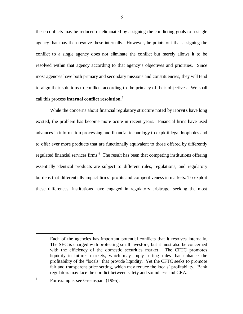these conflicts may be reduced or eliminated by assigning the conflicting goals to a single agency that may then resolve these internally. However, he points out that assigning the conflict to a single agency does not eliminate the conflict but merely allows it to be resolved within that agency according to that agency's objectives and priorities. Since most agencies have both primary and secondary missions and constituencies, they will tend to align their solutions to conflicts according to the primacy of their objectives. We shall call this process **internal conflict resolution**. 5

While the concerns about financial regulatory structure noted by Horvitz have long existed, the problem has become more acute in recent years. Financial firms have used advances in information processing and financial technology to exploit legal loopholes and to offer ever more products that are functionally equivalent to those offered by differently regulated financial services firms.<sup>6</sup> The result has been that competing institutions offering essentially identical products are subject to different rules, regulations, and regulatory burdens that differentially impact firms' profits and competitiveness in markets. To exploit these differences, institutions have engaged in regulatory arbitrage, seeking the most

<sup>5</sup> Each of the agencies has important potential conflicts that it resolves internally. The SEC is charged with protecting small investors, but it must also be concerned with the efficiency of the domestic securities market. The CFTC promotes liquidity in futures markets, which may imply setting rules that enhance the profitability of the "locals" that provide liquidity. Yet the CFTC seeks to promote fair and transparent price setting, which may reduce the locals' profitability. Bank regulators may face the conflict between safety and soundness and CRA.

<sup>6</sup> For example, see Greenspan (1995).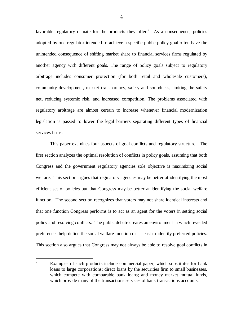favorable regulatory climate for the products they offer.<sup>7</sup> As a consequence, policies adopted by one regulator intended to achieve a specific public policy goal often have the unintended consequence of shifting market share to financial services firms regulated by another agency with different goals. The range of policy goals subject to regulatory arbitrage includes consumer protection (for both retail and wholesale customers), community development, market transparency, safety and soundness, limiting the safety net, reducing systemic risk, and increased competition. The problems associated with regulatory arbitrage are almost certain to increase whenever financial modernization legislation is passed to lower the legal barriers separating different types of financial services firms.

This paper examines four aspects of goal conflicts and regulatory structure. The first section analyzes the optimal resolution of conflicts in policy goals, assuming that both Congress and the government regulatory agencies sole objective is maximizing social welfare. This section argues that regulatory agencies may be better at identifying the most efficient set of policies but that Congress may be better at identifying the social welfare function. The second section recognizes that voters may not share identical interests and that one function Congress performs is to act as an agent for the voters in setting social policy and resolving conflicts. The public debate creates an environment in which revealed preferences help define the social welfare function or at least to identify preferred policies. This section also argues that Congress may not always be able to resolve goal conflicts in

 $\overline{7}$ Examples of such products include commercial paper, which substitutes for bank loans to large corporations; direct loans by the securities firm to small businesses, which compete with comparable bank loans; and money market mutual funds, which provide many of the transactions services of bank transactions accounts.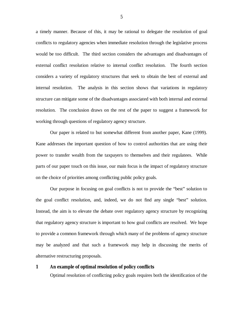a timely manner. Because of this, it may be rational to delegate the resolution of goal conflicts to regulatory agencies when immediate resolution through the legislative process would be too difficult. The third section considers the advantages and disadvantages of external conflict resolution relative to internal conflict resolution. The fourth section considers a variety of regulatory structures that seek to obtain the best of external and internal resolution. The analysis in this section shows that variations in regulatory structure can mitigate some of the disadvantages associated with both internal and external resolution. The conclusion draws on the rest of the paper to suggest a framework for working through questions of regulatory agency structure.

Our paper is related to but somewhat different from another paper, Kane (1999). Kane addresses the important question of how to control authorities that are using their power to transfer wealth from the taxpayers to themselves and their regulatees. While parts of our paper touch on this issue, our main focus is the impact of regulatory structure on the choice of priorities among conflicting public policy goals.

Our purpose in focusing on goal conflicts is not to provide the "best" solution to the goal conflict resolution, and, indeed, we do not find any single "best" solution. Instead, the aim is to elevate the debate over regulatory agency structure by recognizing that regulatory agency structure is important to how goal conflicts are resolved. We hope to provide a common framework through which many of the problems of agency structure may be analyzed and that such a framework may help in discussing the merits of alternative restructuring proposals.

#### **1 An example of optimal resolution of policy conflicts**

Optimal resolution of conflicting policy goals requires both the identification of the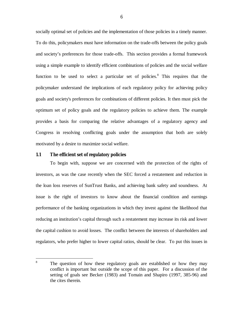socially optimal set of policies and the implementation of those policies in a timely manner. To do this, policymakers must have information on the trade-offs between the policy goals and society's preferences for those trade-offs. This section provides a formal framework using a simple example to identify efficient combinations of policies and the social welfare function to be used to select a particular set of policies.<sup>8</sup> This requires that the policymaker understand the implications of each regulatory policy for achieving policy goals and society's preferences for combinations of different policies. It then must pick the optimum set of policy goals and the regulatory policies to achieve them. The example provides a basis for comparing the relative advantages of a regulatory agency and Congress in resolving conflicting goals under the assumption that both are solely motivated by a desire to maximize social welfare.

#### **1.1 The efficient set of regulatory policies**

To begin with, suppose we are concerned with the protection of the rights of investors, as was the case recently when the SEC forced a restatement and reduction in the loan loss reserves of SunTrust Banks, and achieving bank safety and soundness. At issue is the right of investors to know about the financial condition and earnings performance of the banking organizations in which they invest against the likelihood that reducing an institution's capital through such a restatement may increase its risk and lower the capital cushion to avoid losses. The conflict between the interests of shareholders and regulators, who prefer higher to lower capital ratios, should be clear. To put this issues in

<sup>8</sup> The question of how these regulatory goals are established or how they may conflict is important but outside the scope of this paper. For a discussion of the setting of goals see Becker (1983) and Tomain and Shapiro (1997, 385-96) and the cites therein.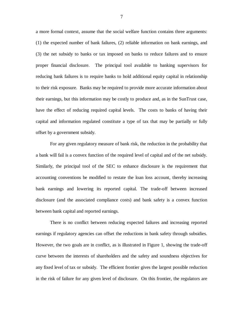a more formal context, assume that the social welfare function contains three arguments: (1) the expected number of bank failures, (2) reliable information on bank earnings, and (3) the net subsidy to banks or tax imposed on banks to reduce failures and to ensure proper financial disclosure. The principal tool available to banking supervisors for reducing bank failures is to require banks to hold additional equity capital in relationship to their risk exposure. Banks may be required to provide more accurate information about their earnings, but this information may be costly to produce and, as in the SunTrust case, have the effect of reducing required capital levels. The costs to banks of having their capital and information regulated constitute a type of tax that may be partially or fully offset by a government subsidy.

For any given regulatory measure of bank risk, the reduction in the probability that a bank will fail is a convex function of the required level of capital and of the net subsidy. Similarly, the principal tool of the SEC to enhance disclosure is the requirement that accounting conventions be modified to restate the loan loss account, thereby increasing bank earnings and lowering its reported capital. The trade-off between increased disclosure (and the associated compliance costs) and bank safety is a convex function between bank capital and reported earnings.

There is no conflict between reducing expected failures and increasing reported earnings if regulatory agencies can offset the reductions in bank safety through subsidies. However, the two goals are in conflict, as is illustrated in Figure 1, showing the trade-off curve between the interests of shareholders and the safety and soundness objectives for any fixed level of tax or subsidy. The efficient frontier gives the largest possible reduction in the risk of failure for any given level of disclosure. On this frontier, the regulators are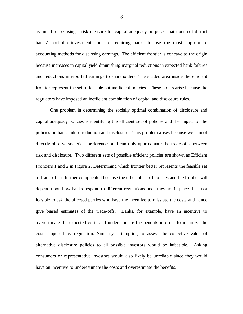assumed to be using a risk measure for capital adequacy purposes that does not distort banks' portfolio investment and are requiring banks to use the most appropriate accounting methods for disclosing earnings. The efficient frontier is concave to the origin because increases in capital yield diminishing marginal reductions in expected bank failures and reductions in reported earnings to shareholders. The shaded area inside the efficient frontier represent the set of feasible but inefficient policies. These points arise because the regulators have imposed an inefficient combination of capital and disclosure rules.

One problem in determining the socially optimal combination of disclosure and capital adequacy policies is identifying the efficient set of policies and the impact of the policies on bank failure reduction and disclosure. This problem arises because we cannot directly observe societies' preferences and can only approximate the trade-offs between risk and disclosure. Two different sets of possible efficient policies are shown as Efficient Frontiers 1 and 2 in Figure 2. Determining which frontier better represents the feasible set of trade-offs is further complicated because the efficient set of policies and the frontier will depend upon how banks respond to different regulations once they are in place. It is not feasible to ask the affected parties who have the incentive to misstate the costs and hence give biased estimates of the trade-offs. Banks, for example, have an incentive to overestimate the expected costs and underestimate the benefits in order to minimize the costs imposed by regulation. Similarly, attempting to assess the collective value of alternative disclosure policies to all possible investors would be infeasible. Asking consumers or representative investors would also likely be unreliable since they would have an incentive to underestimate the costs and overestimate the benefits.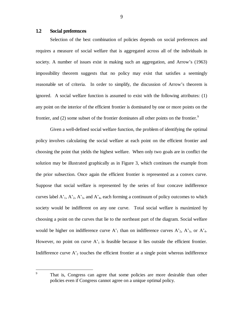#### **1.2 Social preferences**

Selection of the best combination of policies depends on social preferences and requires a measure of social welfare that is aggregated across all of the individuals in society. A number of issues exist in making such an aggregation, and Arrow's (1963) impossibility theorem suggests that no policy may exist that satisfies a seemingly reasonable set of criteria. In order to simplify, the discussion of Arrow's theorem is ignored. A social welfare function is assumed to exist with the following attributes: (1) any point on the interior of the efficient frontier is dominated by one or more points on the frontier, and (2) some subset of the frontier dominates all other points on the frontier.<sup>9</sup>

Given a well-defined social welfare function, the problem of identifying the optimal policy involves calculating the social welfare at each point on the efficient frontier and choosing the point that yields the highest welfare. When only two goals are in conflict the solution may be illustrated graphically as in Figure 3, which continues the example from the prior subsection. Once again the efficient frontier is represented as a convex curve. Suppose that social welfare is represented by the series of four concave indifference curves label A'<sub>1</sub>, A'<sub>2</sub>, A'<sub>3</sub>, and A'<sub>4</sub>, each forming a continuum of policy outcomes to which society would be indifferent on any one curve. Total social welfare is maximized by choosing a point on the curves that lie to the northeast part of the diagram. Social welfare would be higher on indifference curve  $A'$ <sub>1</sub> than on indifference curves  $A'$ <sub>2</sub>,  $A'$ <sub>3</sub>, or  $A'$ <sub>4</sub>. However, no point on curve  $A<sub>1</sub>$  is feasible because it lies outside the efficient frontier. Indifference curve  $A<sub>2</sub>$  touches the efficient frontier at a single point whereas indifference

That is, Congress can agree that some policies are more desirable than other policies even if Congress cannot agree on a unique optimal policy.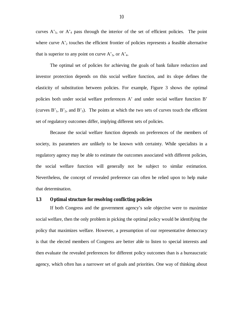curves  $A_3$ , or  $A_4$  pass through the interior of the set of efficient policies. The point where curve  $A<sub>2</sub>$  touches the efficient frontier of policies represents a feasible alternative that is superior to any point on curve  $A_3^3$ , or  $A_4^3$ .

The optimal set of policies for achieving the goals of bank failure reduction and investor protection depends on this social welfare function, and its slope defines the elasticity of substitution between policies. For example, Figure 3 shows the optimal policies both under social welfare preferences A' and under social welfare function B' (curves  $B'_1$ ,  $B'_2$ , and  $B'_3$ ). The points at which the two sets of curves touch the efficient set of regulatory outcomes differ, implying different sets of policies.

Because the social welfare function depends on preferences of the members of society, its parameters are unlikely to be known with certainty. While specialists in a regulatory agency may be able to estimate the outcomes associated with different policies, the social welfare function will generally not be subject to similar estimation. Nevertheless, the concept of revealed preference can often be relied upon to help make that determination.

#### **1.3 Optimal structure for resolving conflicting policies**

If both Congress and the government agency's sole objective were to maximize social welfare, then the only problem in picking the optimal policy would be identifying the policy that maximizes welfare. However, a presumption of our representative democracy is that the elected members of Congress are better able to listen to special interests and then evaluate the revealed preferences for different policy outcomes than is a bureaucratic agency, which often has a narrower set of goals and priorities. One way of thinking about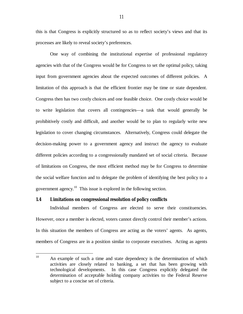this is that Congress is explicitly structured so as to reflect society's views and that its processes are likely to reveal society's preferences.

One way of combining the institutional expertise of professional regulatory agencies with that of the Congress would be for Congress to set the optimal policy, taking input from government agencies about the expected outcomes of different policies. A limitation of this approach is that the efficient frontier may be time or state dependent. Congress then has two costly choices and one feasible choice. One costly choice would be to write legislation that covers all contingencies— a task that would generally be prohibitively costly and difficult, and another would be to plan to regularly write new legislation to cover changing circumstances. Alternatively, Congress could delegate the decision-making power to a government agency and instruct the agency to evaluate different policies according to a congressionally mandated set of social criteria. Because of limitations on Congress, the most efficient method may be for Congress to determine the social welfare function and to delegate the problem of identifying the best policy to a government agency.<sup>10</sup> This issue is explored in the following section.

#### **1.4 Limitations on congressional resolution of policy conflicts**

Individual members of Congress are elected to serve their constituencies. However, once a member is elected, voters cannot directly control their member's actions. In this situation the members of Congress are acting as the voters' agents. As agents, members of Congress are in a position similar to corporate executives. Acting as agents

<sup>10</sup> An example of such a time and state dependency is the determination of which activities are closely related to banking, a set that has been growing with technological developments. In this case Congress explicitly delegated the determination of acceptable holding company activities to the Federal Reserve subject to a concise set of criteria.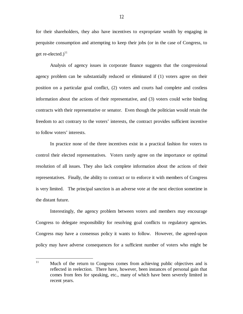for their shareholders, they also have incentives to expropriate wealth by engaging in perquisite consumption and attempting to keep their jobs (or in the case of Congress, to get re-elected.) $^{11}$ 

Analysis of agency issues in corporate finance suggests that the congressional agency problem can be substantially reduced or eliminated if (1) voters agree on their position on a particular goal conflict, (2) voters and courts had complete and costless information about the actions of their representative, and (3) voters could write binding contracts with their representative or senator. Even though the politician would retain the freedom to act contrary to the voters' interests, the contract provides sufficient incentive to follow voters' interests.

In practice none of the three incentives exist in a practical fashion for voters to control their elected representatives. Voters rarely agree on the importance or optimal resolution of all issues. They also lack complete information about the actions of their representatives. Finally, the ability to contract or to enforce it with members of Congress is very limited. The principal sanction is an adverse vote at the next election sometime in the distant future.

Interestingly, the agency problem between voters and members may encourage Congress to delegate responsibility for resolving goal conflicts to regulatory agencies. Congress may have a consensus policy it wants to follow. However, the agreed-upon policy may have adverse consequences for a sufficient number of voters who might be

 $11$ Much of the return to Congress comes from achieving public objectives and is reflected in reelection. There have, however, been instances of personal gain that comes from fees for speaking, etc., many of which have been severely limited in recent years.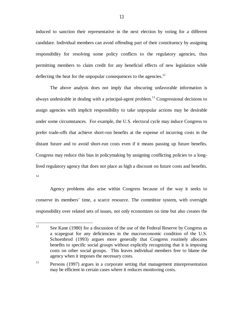induced to sanction their representative in the next election by voting for a different candidate. Individual members can avoid offending part of their constituency by assigning responsibility for resolving some policy conflicts to the regulatory agencies, thus permitting members to claim credit for any beneficial effects of new legislation while deflecting the heat for the unpopular consequences to the agencies.<sup>12</sup>

The above analysis does not imply that obscuring unfavorable information is always undesirable in dealing with a principal-agent problem.<sup>13</sup> Congressional decisions to assign agencies with implicit responsibility to take unpopular actions may be desirable under some circumstances. For example, the U.S. electoral cycle may induce Congress to prefer trade-offs that achieve short-run benefits at the expense of incurring costs in the distant future and to avoid short-run costs even if it means passing up future benefits. Congress may reduce this bias in policymaking by assigning conflicting policies to a longlived regulatory agency that does not place as high a discount on future costs and benefits. 14

Agency problems also arise within Congress because of the way it seeks to conserve its members' time, a scarce resource. The committee system, with oversight responsibility over related sets of issues, not only economizes on time but also creates the

 $12<sup>12</sup>$ See Kane (1980) for a discussion of the use of the Federal Reserve by Congress as a scapegoat for any deficiencies in the macroeconomic condition of the U.S. Schoenbrod (1993) argues more generally that Congress routinely allocates benefits to specific social groups without explicitly recognizing that it is imposing costs on other social groups. This leaves individual members free to blame the agency when it imposes the necessary costs.

<sup>&</sup>lt;sup>13</sup> Persons (1997) argues in a corporate setting that management misrepresentation may be efficient in certain cases where it reduces monitoring costs.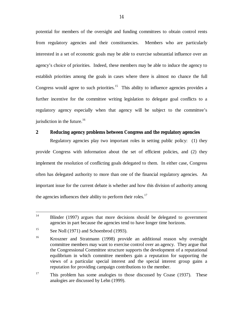potential for members of the oversight and funding committees to obtain control rents from regulatory agencies and their constituencies. Members who are particularly interested in a set of economic goals may be able to exercise substantial influence over an agency's choice of priorities. Indeed, these members may be able to induce the agency to establish priorities among the goals in cases where there is almost no chance the full Congress would agree to such priorities.<sup>15</sup> This ability to influence agencies provides a further incentive for the committee writing legislation to delegate goal conflicts to a regulatory agency especially when that agency will be subject to the committee's iurisdiction in the future. $16$ 

#### **2 Reducing agency problems between Congress and the regulatory agencies**

Regulatory agencies play two important roles in setting public policy: (1) they provide Congress with information about the set of efficient policies, and (2) they implement the resolution of conflicting goals delegated to them. In either case, Congress often has delegated authority to more than one of the financial regulatory agencies. An important issue for the current debate is whether and how this division of authority among the agencies influences their ability to perform their roles. $17$ 

 $14$ <sup>14</sup> Blinder (1997) argues that more decisions should be delegated to government agencies in part because the agencies tend to have longer time horizons.

<sup>&</sup>lt;sup>15</sup> See Noll (1971) and Schoenbrod (1993).

<sup>&</sup>lt;sup>16</sup> Kroszner and Stratmann (1998) provide an additional reason why oversight committee members may want to exercise control over an agency. They argue that the Congressional Committee structure supports the development of a reputational equilibrium in which committee members gain a reputation for supporting the views of a particular special interest and the special interest group gains a reputation for providing campaign contributions to the member.

 $17$  This problem has some analogies to those discussed by Coase (1937). These analogies are discussed by Lehn (1999).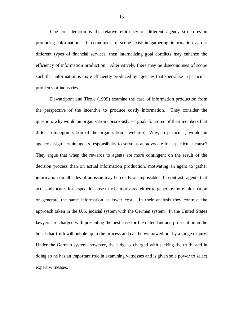One consideration is the relative efficiency of different agency structures in producing information. If economies of scope exist in gathering information across different types of financial services, then internalizing goal conflicts may enhance the efficiency of information production. Alternatively, there may be diseconomies of scope such that information is more efficiently produced by agencies that specialize in particular problems or industries.

Dewatripont and Tirole (1999) examine the case of information production from the perspective of the incentive to produce costly information. They consider the question: why would an organization consciously set goals for some of their members that differ from optimization of the organization's welfare? Why, in particular, would an agency assign certain agents responsibility to serve as an advocate for a particular cause? They argue that when the rewards to agents are more contingent on the result of the decision process than on actual information production, motivating an agent to gather information on all sides of an issue may be costly or impossible. In contrast, agents that act as advocates for a specific cause may be motivated either to generate more information or generate the same information at lower cost. In their analysis they contrast the approach taken in the U.S. judicial system with the German system. In the United States lawyers are charged with presenting the best case for the defendant and prosecution in the belief that truth will bubble up in the process and can be winnowed out by a judge or jury. Under the German system, however, the judge is charged with seeking the truth, and in doing so he has an important role in examining witnesses and is given sole power to select expert witnesses.

<u>.</u>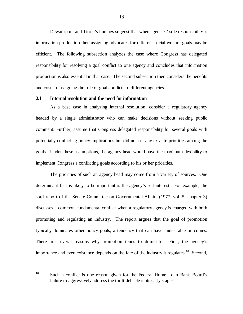Dewatripont and Tirole's findings suggest that when agencies' sole responsibility is information production then assigning advocates for different social welfare goals may be efficient. The following subsection analyzes the case where Congress has delegated responsibility for resolving a goal conflict to one agency and concludes that information production is also essential in that case. The second subsection then considers the benefits and costs of assigning the role of goal conflicts to different agencies.

#### **2.1 Internal resolution and the need for information**

As a base case in analyzing internal resolution, consider a regulatory agency headed by a single administrator who can make decisions without seeking public comment. Further, assume that Congress delegated responsibility for several goals with potentially conflicting policy implications but did not set any ex ante priorities among the goals. Under these assumptions, the agency head would have the maximum flexibility to implement Congress's conflicting goals according to his or her priorities.

The priorities of such an agency head may come from a variety of sources. One determinant that is likely to be important is the agency's self-interest. For example, the staff report of the Senate Committee on Governmental Affairs (1977, vol. 5, chapter 3) discusses a common, fundamental conflict when a regulatory agency is charged with both promoting and regulating an industry. The report argues that the goal of promotion typically dominates other policy goals, a tendency that can have undesirable outcomes. There are several reasons why promotion tends to dominate. First, the agency's importance and even existence depends on the fate of the industry it regulates.<sup>18</sup> Second,

Such a conflict is one reason given for the Federal Home Loan Bank Board's failure to aggressively address the thrift debacle in its early stages.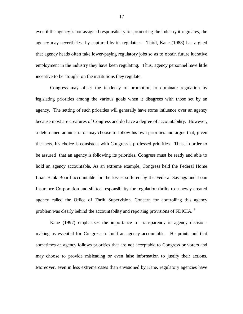even if the agency is not assigned responsibility for promoting the industry it regulates, the agency may nevertheless by captured by its regulatees. Third, Kane (1988) has argued that agency heads often take lower-paying regulatory jobs so as to obtain future lucrative employment in the industry they have been regulating. Thus, agency personnel have little incentive to be "tough" on the institutions they regulate.

Congress may offset the tendency of promotion to dominate regulation by legislating priorities among the various goals when it disagrees with those set by an agency. The setting of such priorities will generally have some influence over an agency because most are creatures of Congress and do have a degree of accountability. However, a determined administrator may choose to follow his own priorities and argue that, given the facts, his choice is consistent with Congress's professed priorities. Thus, in order to be assured that an agency is following its priorities, Congress must be ready and able to hold an agency accountable. As an extreme example, Congress held the Federal Home Loan Bank Board accountable for the losses suffered by the Federal Savings and Loan Insurance Corporation and shifted responsibility for regulation thrifts to a newly created agency called the Office of Thrift Supervision. Concern for controlling this agency problem was clearly behind the accountability and reporting provisions of FDICIA.<sup>19</sup>

Kane (1997) emphasizes the importance of transparency in agency decisionmaking as essential for Congress to hold an agency accountable. He points out that sometimes an agency follows priorities that are not acceptable to Congress or voters and may choose to provide misleading or even false information to justify their actions. Moreover, even in less extreme cases than envisioned by Kane, regulatory agencies have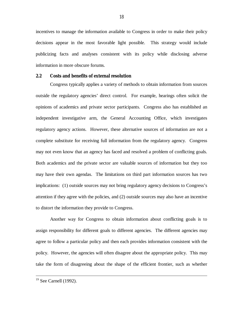incentives to manage the information available to Congress in order to make their policy decisions appear in the most favorable light possible. This strategy would include publicizing facts and analyses consistent with its policy while disclosing adverse information in more obscure forums.

#### **2.2 Costs and benefits of external resolution**

Congress typically applies a variety of methods to obtain information from sources outside the regulatory agencies' direct control. For example, hearings often solicit the opinions of academics and private sector participants. Congress also has established an independent investigative arm, the General Accounting Office, which investigates regulatory agency actions. However, these alternative sources of information are not a complete substitute for receiving full information from the regulatory agency. Congress may not even know that an agency has faced and resolved a problem of conflicting goals. Both academics and the private sector are valuable sources of information but they too may have their own agendas. The limitations on third part information sources has two implications: (1) outside sources may not bring regulatory agency decisions to Congress's attention if they agree with the policies, and (2) outside sources may also have an incentive to distort the information they provide to Congress.

Another way for Congress to obtain information about conflicting goals is to assign responsibility for different goals to different agencies. The different agencies may agree to follow a particular policy and then each provides information consistent with the policy. However, the agencies will often disagree about the appropriate policy. This may take the form of disagreeing about the shape of the efficient frontier, such as whether

 $19$  See Carnell (1992).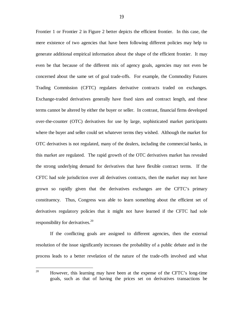Frontier 1 or Frontier 2 in Figure 2 better depicts the efficient frontier. In this case, the mere existence of two agencies that have been following different policies may help to generate additional empirical information about the shape of the efficient frontier. It may even be that because of the different mix of agency goals, agencies may not even be concerned about the same set of goal trade-offs. For example, the Commodity Futures Trading Commission (CFTC) regulates derivative contracts traded on exchanges. Exchange-traded derivatives generally have fixed sizes and contract length, and these terms cannot be altered by either the buyer or seller. In contrast, financial firms developed over-the-counter (OTC) derivatives for use by large, sophisticated market participants where the buyer and seller could set whatever terms they wished. Although the market for OTC derivatives is not regulated, many of the dealers, including the commercial banks, in this market are regulated. The rapid growth of the OTC derivatives market has revealed the strong underlying demand for derivatives that have flexible contract terms. If the CFTC had sole jurisdiction over all derivatives contracts, then the market may not have grown so rapidly given that the derivatives exchanges are the CFTC's primary constituency. Thus, Congress was able to learn something about the efficient set of derivatives regulatory policies that it might not have learned if the CFTC had sole responsibility for derivatives.<sup>20</sup>

If the conflicting goals are assigned to different agencies, then the external resolution of the issue significantly increases the probability of a public debate and in the process leads to a better revelation of the nature of the trade-offs involved and what

<sup>20</sup> However, this learning may have been at the expense of the CFTC's long-time goals, such as that of having the prices set on derivatives transactions be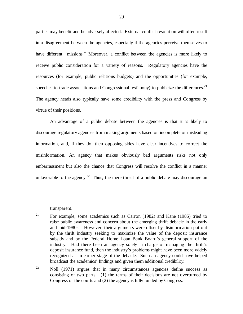parties may benefit and be adversely affected. External conflict resolution will often result in a disagreement between the agencies, especially if the agencies perceive themselves to have different "missions." Moreover, a conflict between the agencies is more likely to receive public consideration for a variety of reasons. Regulatory agencies have the resources (for example, public relations budgets) and the opportunities (for example, speeches to trade associations and Congressional testimony) to publicize the differences.<sup>21</sup> The agency heads also typically have some credibility with the press and Congress by virtue of their positions.

An advantage of a public debate between the agencies is that it is likely to discourage regulatory agencies from making arguments based on incomplete or misleading information, and, if they do, then opposing sides have clear incentives to correct the misinformation. An agency that makes obviously bad arguments risks not only embarrassment but also the chance that Congress will resolve the conflict in a manner unfavorable to the agency.<sup>22</sup> Thus, the mere threat of a public debate may discourage an

<u>.</u>

 $22$  Noll (1971) argues that in many circumstances agencies define success as consisting of two parts: (1) the terms of their decisions are not overturned by Congress or the courts and (2) the agency is fully funded by Congress.

transparent.

<sup>&</sup>lt;sup>21</sup> For example, some academics such as Carron (1982) and Kane (1985) tried to raise public awareness and concern about the emerging thrift debacle in the early and mid-1980s. However, their arguments were offset by disinformation put out by the thrift industry seeking to maximize the value of the deposit insurance subsidy and by the Federal Home Loan Bank Board's general support of the industry. Had there been an agency solely in charge of managing the thrift's deposit insurance fund, then the industry's problems might have been more widely recognized at an earlier stage of the debacle. Such an agency could have helped broadcast the academics' findings and given them additional credibility.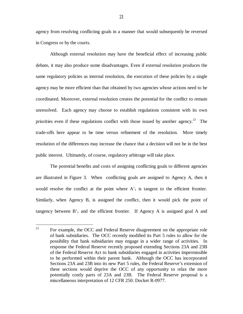agency from resolving conflicting goals in a manner that would subsequently be reversed in Congress or by the courts.

Although external resolution may have the beneficial effect of increasing public debate, it may also produce some disadvantages. Even if external resolution produces the same regulatory policies as internal resolution, the execution of these policies by a single agency may be more efficient than that obtained by two agencies whose actions need to be coordinated. Moreover, external resolution creates the potential for the conflict to remain unresolved. Each agency may choose to establish regulations consistent with its own priorities even if these regulations conflict with those issued by another agency.<sup>23</sup> The trade-offs here appear to be time versus refinement of the resolution. More timely resolution of the differences may increase the chance that a decision will not be in the best public interest. Ultimately, of course, regulatory arbitrage will take place.

The potential benefits and costs of assigning conflicting goals to different agencies are illustrated in Figure 3. When conflicting goals are assigned to Agency A, then it would resolve the conflict at the point where  $A<sub>1</sub>$  is tangent to the efficient frontier. Similarly, when Agency B, is assigned the conflict, then it would pick the point of tangency between  $B<sub>1</sub>$  and the efficient frontier. If Agency A is assigned goal A and

<sup>23</sup> <sup>23</sup> For example, the OCC and Federal Reserve disagreement on the appropriate role of bank subsidiaries. The OCC recently modified its Part 5 rules to allow for the possibility that bank subsidiaries may engage in a wider range of activities. In response the Federal Reserve recently proposed extending Sections 23A and 23B of the Federal Reserve Act to bank subsidiaries engaged in activities impermissible to be performed within their parent bank. Although the OCC has incorporated Sections 23A and 23B into its new Part 5 rules, the Federal Reserve's extension of these sections would deprive the OCC of any opportunity to relax the more potentially costly parts of 23A and 23B. The Federal Reserve proposal is a miscellaneous interpretation of 12 CFR 250: Docket R-0977.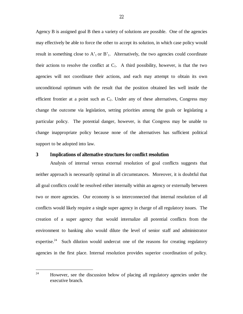Agency B is assigned goal B then a variety of solutions are possible. One of the agencies may effectively be able to force the other to accept its solution, in which case policy would result in something close to  $A<sub>1</sub>$  or  $B<sub>1</sub>$ . Alternatively, the two agencies could coordinate their actions to resolve the conflict at  $C_1$ . A third possibility, however, is that the two agencies will not coordinate their actions, and each may attempt to obtain its own unconditional optimum with the result that the position obtained lies well inside the efficient frontier at a point such as  $C_2$ . Under any of these alternatives, Congress may change the outcome via legislation, setting priorities among the goals or legislating a particular policy. The potential danger, however, is that Congress may be unable to change inappropriate policy because none of the alternatives has sufficient political support to be adopted into law.

#### **3 Implications of alternative structures for conflict resolution**

Analysis of internal versus external resolution of goal conflicts suggests that neither approach is necessarily optimal in all circumstances. Moreover, it is doubtful that all goal conflicts could be resolved either internally within an agency or externally between two or more agencies. Our economy is so interconnected that internal resolution of all conflicts would likely require a single super agency in charge of all regulatory issues. The creation of a super agency that would internalize all potential conflicts from the environment to banking also would dilute the level of senior staff and administrator expertise.<sup>24</sup> Such dilution would undercut one of the reasons for creating regulatory agencies in the first place. Internal resolution provides superior coordination of policy.

<sup>24</sup> However, see the discussion below of placing all regulatory agencies under the executive branch.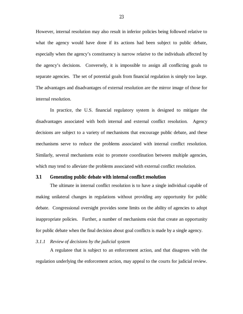However, internal resolution may also result in inferior policies being followed relative to what the agency would have done if its actions had been subject to public debate, especially when the agency's constituency is narrow relative to the individuals affected by the agency's decisions. Conversely, it is impossible to assign all conflicting goals to separate agencies. The set of potential goals from financial regulation is simply too large. The advantages and disadvantages of external resolution are the mirror image of those for internal resolution.

In practice, the U.S. financial regulatory system is designed to mitigate the disadvantages associated with both internal and external conflict resolution. Agency decisions are subject to a variety of mechanisms that encourage public debate, and these mechanisms serve to reduce the problems associated with internal conflict resolution. Similarly, several mechanisms exist to promote coordination between multiple agencies, which may tend to alleviate the problems associated with external conflict resolution.

#### **3.1 Generating public debate with internal conflict resolution**

The ultimate in internal conflict resolution is to have a single individual capable of making unilateral changes in regulations without providing any opportunity for public debate. Congressional oversight provides some limits on the ability of agencies to adopt inappropriate policies. Further, a number of mechanisms exist that create an opportunity for public debate when the final decision about goal conflicts is made by a single agency.

#### *3.1.1 Review of decisions by the judicial system*

A regulatee that is subject to an enforcement action, and that disagrees with the regulation underlying the enforcement action, may appeal to the courts for judicial review.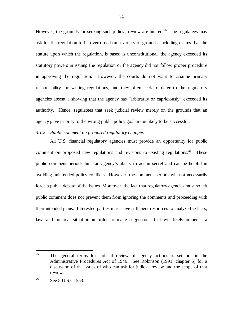However, the grounds for seeking such judicial review are limited.<sup>25</sup> The regulatees may ask for the regulation to be overturned on a variety of grounds, including claims that the statute upon which the regulation, is based is unconstitutional, the agency exceeded its statutory powers in issuing the regulation or the agency did not follow proper procedure in approving the regulation. However, the courts do not want to assume primary responsibility for writing regulations, and they often seek to defer to the regulatory agencies absent a showing that the agency has "arbitrarily or capriciously" exceeded its authority. Hence, regulatees that seek judicial review merely on the grounds that an agency gave priority to the wrong public policy goal are unlikely to be successful.

#### *3.1.2 Public comment on proposed regulatory changes*

All U.S. financial regulatory agencies must provide an opportunity for public comment on proposed new regulations and revisions to existing regulations.<sup>26</sup> These public comment periods limit an agency's ability to act in secret and can be helpful in avoiding unintended policy conflicts. However, the comment periods will not necessarily force a public debate of the issues. Moreover, the fact that regulatory agencies must solicit public comment does not prevent them from ignoring the comments and proceeding with their intended plans. Interested parties must have sufficient resources to analyze the facts, law, and political situation in order to make suggestions that will likely influence a

<u>.</u>

<sup>&</sup>lt;sup>25</sup> The general terms for judicial review of agency actions is set out in the Administrative Procedures Act of 1946. See Robinson (1991, chapter 5) for a discussion of the issues of who can ask for judicial review and the scope of that review.

<sup>&</sup>lt;sup>26</sup> See 5 U.S.C. 553.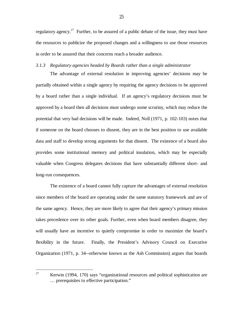regulatory agency.<sup>27</sup> Further, to be assured of a public debate of the issue, they must have the resources to publicize the proposed changes and a willingness to use those resources in order to be assured that their concerns reach a broader audience.

#### *3.1.3 Regulatory agencies headed by Boards rather than a single administrator*

The advantage of external resolution in improving agencies' decisions may be partially obtained within a single agency by requiring the agency decisions to be approved by a board rather than a single individual. If an agency's regulatory decisions must be approved by a board then all decisions must undergo some scrutiny, which may reduce the potential that very bad decisions will be made. Indeed, Noll (1971, p. 102-103) notes that if someone on the board chooses to dissent, they are in the best position to use available data and staff to develop strong arguments for that dissent. The existence of a board also provides some institutional memory and political insulation, which may be especially valuable when Congress delegates decisions that have substantially different short- and long-run consequences.

The existence of a board cannot fully capture the advantages of external resolution since members of the board are operating under the same statutory framework and are of the same agency. Hence, they are more likely to agree that their agency's primary mission takes precedence over its other goals. Further, even when board members disagree, they will usually have an incentive to quietly compromise in order to maximize the board's flexibility in the future. Finally, the President's Advisory Council on Executive Organization (1971, p. 34--otherwise known as the Ash Commission) argues that boards

<sup>27</sup> Kerwin (1994, 170) says "organizational resources and political sophistication are … prerequisites to effective participation."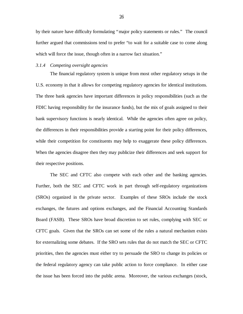by their nature have difficulty formulating "major policy statements or rules." The council further argued that commissions tend to prefer "to wait for a suitable case to come along which will force the issue, though often in a narrow fact situation."

#### *3.1.4 Competing oversight agencies*

The financial regulatory system is unique from most other regulatory setups in the U.S. economy in that it allows for competing regulatory agencies for identical institutions. The three bank agencies have important differences in policy responsibilities (such as the FDIC having responsibility for the insurance funds), but the mix of goals assigned to their bank supervisory functions is nearly identical. While the agencies often agree on policy, the differences in their responsibilities provide a starting point for their policy differences, while their competition for constituents may help to exaggerate these policy differences. When the agencies disagree then they may publicize their differences and seek support for their respective positions.

The SEC and CFTC also compete with each other and the banking agencies. Further, both the SEC and CFTC work in part through self-regulatory organizations (SROs) organized in the private sector. Examples of these SROs include the stock exchanges, the futures and options exchanges, and the Financial Accounting Standards Board (FASB). These SROs have broad discretion to set rules, complying with SEC or CFTC goals. Given that the SROs can set some of the rules a natural mechanism exists for externalizing some debates. If the SRO sets rules that do not match the SEC or CFTC priorities, then the agencies must either try to persuade the SRO to change its policies or the federal regulatory agency can take public action to force compliance. In either case the issue has been forced into the public arena. Moreover, the various exchanges (stock,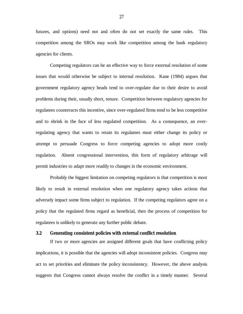futures, and options) need not and often do not set exactly the same rules. This competition among the SROs may work like competition among the bank regulatory agencies for clients.

Competing regulators can be an effective way to force external resolution of some issues that would otherwise be subject to internal resolution. Kane (1984) argues that government regulatory agency heads tend to over-regulate due to their desire to avoid problems during their, usually short, tenure. Competition between regulatory agencies for regulatees counteracts this incentive, since over-regulated firms tend to be less competitive and to shrink in the face of less regulated competition. As a consequence, an overregulating agency that wants to retain its regulatees must either change its policy or attempt to persuade Congress to force competing agencies to adopt more costly regulation. Absent congressional intervention, this form of regulatory arbitrage will permit industries to adapt more readily to changes in the economic environment.

Probably the biggest limitation on competing regulators is that competition is most likely to result in external resolution when one regulatory agency takes actions that adversely impact some firms subject to regulation. If the competing regulators agree on a policy that the regulated firms regard as beneficial, then the process of competition for regulatees is unlikely to generate any further public debate.

#### **3.2 Generating consistent policies with external conflict resolution**

If two or more agencies are assigned different goals that have conflicting policy implications, it is possible that the agencies will adopt inconsistent policies. Congress may act to set priorities and eliminate the policy inconsistency. However, the above analysis suggests that Congress cannot always resolve the conflict in a timely manner. Several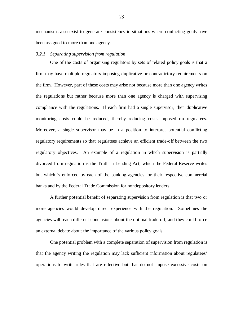mechanisms also exist to generate consistency in situations where conflicting goals have been assigned to more than one agency.

#### *3.2.1 Separating supervision from regulation*

One of the costs of organizing regulators by sets of related policy goals is that a firm may have multiple regulators imposing duplicative or contradictory requirements on the firm. However, part of these costs may arise not because more than one agency writes the regulations but rather because more than one agency is charged with supervising compliance with the regulations. If each firm had a single supervisor, then duplicative monitoring costs could be reduced, thereby reducing costs imposed on regulatees. Moreover, a single supervisor may be in a position to interpret potential conflicting regulatory requirements so that regulatees achieve an efficient trade-off between the two regulatory objectives. An example of a regulation in which supervision is partially divorced from regulation is the Truth in Lending Act, which the Federal Reserve writes but which is enforced by each of the banking agencies for their respective commercial banks and by the Federal Trade Commission for nondepository lenders.

A further potential benefit of separating supervision from regulation is that two or more agencies would develop direct experience with the regulation. Sometimes the agencies will reach different conclusions about the optimal trade-off, and they could force an external debate about the importance of the various policy goals.

One potential problem with a complete separation of supervision from regulation is that the agency writing the regulation may lack sufficient information about regulatees' operations to write rules that are effective but that do not impose excessive costs on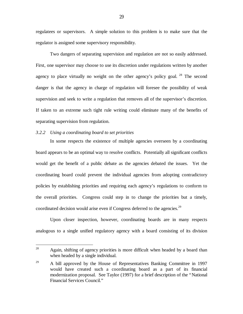regulatees or supervisors. A simple solution to this problem is to make sure that the regulator is assigned some supervisory responsibility.

Two dangers of separating supervision and regulation are not so easily addressed. First, one supervisor may choose to use its discretion under regulations written by another agency to place virtually no weight on the other agency's policy goal.  $28$  The second danger is that the agency in charge of regulation will foresee the possibility of weak supervision and seek to write a regulation that removes all of the supervisor's discretion. If taken to an extreme such tight rule writing could eliminate many of the benefits of separating supervision from regulation.

#### *3.2.2 Using a coordinating board to set priorities*

In some respects the existence of multiple agencies overseen by a coordinating board appears to be an optimal way to resolve conflicts. Potentially all significant conflicts would get the benefit of a public debate as the agencies debated the issues. Yet the coordinating board could prevent the individual agencies from adopting contradictory policies by establishing priorities and requiring each agency's regulations to conform to the overall priorities. Congress could step in to change the priorities but a timely, coordinated decision would arise even if Congress deferred to the agencies.<sup>29</sup>

Upon closer inspection, however, coordinating boards are in many respects analogous to a single unified regulatory agency with a board consisting of its division

<sup>28</sup> Again, shifting of agency priorities is more difficult when headed by a board than when headed by a single individual.

 $29$  A bill approved by the House of Representatives Banking Committee in 1997 would have created such a coordinating board as a part of its financial modernization proposal. See Taylor (1997) for a brief description of the "National Financial Services Council."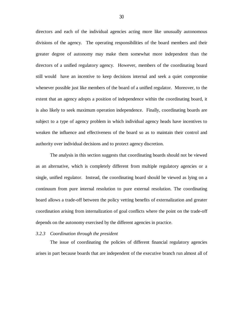directors and each of the individual agencies acting more like unusually autonomous divisions of the agency. The operating responsibilities of the board members and their greater degree of autonomy may make them somewhat more independent than the directors of a unified regulatory agency. However, members of the coordinating board still would have an incentive to keep decisions internal and seek a quiet compromise whenever possible just like members of the board of a unified regulator. Moreover, to the extent that an agency adopts a position of independence within the coordinating board, it is also likely to seek maximum operation independence. Finally, coordinating boards are subject to a type of agency problem in which individual agency heads have incentives to weaken the influence and effectiveness of the board so as to maintain their control and authority over individual decisions and to protect agency discretion.

The analysis in this section suggests that coordinating boards should not be viewed as an alternative, which is completely different from multiple regulatory agencies or a single, unified regulator. Instead, the coordinating board should be viewed as lying on a continuum from pure internal resolution to pure external resolution. The coordinating board allows a trade-off between the policy vetting benefits of externalization and greater coordination arising from internalization of goal conflicts where the point on the trade-off depends on the autonomy exercised by the different agencies in practice.

#### *3.2.3 Coordination through the president*

The issue of coordinating the policies of different financial regulatory agencies arises in part because boards that are independent of the executive branch run almost all of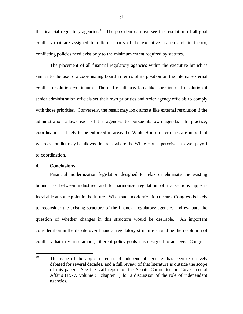the financial regulatory agencies.<sup>30</sup> The president can oversee the resolution of all goal conflicts that are assigned to different parts of the executive branch and, in theory, conflicting policies need exist only to the minimum extent required by statutes.

The placement of all financial regulatory agencies within the executive branch is similar to the use of a coordinating board in terms of its position on the internal-external conflict resolution continuum. The end result may look like pure internal resolution if senior administration officials set their own priorities and order agency officials to comply with those priorities. Conversely, the result may look almost like external resolution if the administration allows each of the agencies to pursue its own agenda. In practice, coordination is likely to be enforced in areas the White House determines are important whereas conflict may be allowed in areas where the White House perceives a lower payoff to coordination.

#### **4. Conclusions**

Financial modernization legislation designed to relax or eliminate the existing boundaries between industries and to harmonize regulation of transactions appears inevitable at some point in the future. When such modernization occurs, Congress is likely to reconsider the existing structure of the financial regulatory agencies and evaluate the question of whether changes in this structure would be desirable. An important consideration in the debate over financial regulatory structure should be the resolution of conflicts that may arise among different policy goals it is designed to achieve. Congress

<sup>30</sup> The issue of the appropriateness of independent agencies has been extensively debated for several decades, and a full review of that literature is outside the scope of this paper. See the staff report of the Senate Committee on Governmental Affairs (1977, volume 5, chapter 1) for a discussion of the role of independent agencies.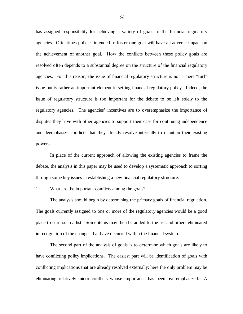has assigned responsibility for achieving a variety of goals to the financial regulatory agencies. Oftentimes policies intended to foster one goal will have an adverse impact on the achievement of another goal. How the conflicts between these policy goals are resolved often depends to a substantial degree on the structure of the financial regulatory agencies. For this reason, the issue of financial regulatory structure is not a mere "turf" issue but is rather an important element in setting financial regulatory policy. Indeed, the issue of regulatory structure is too important for the debate to be left solely to the regulatory agencies. The agencies' incentives are to overemphasize the importance of disputes they have with other agencies to support their case for continuing independence and deemphasize conflicts that they already resolve internally to maintain their existing powers.

In place of the current approach of allowing the existing agencies to frame the debate, the analysis in this paper may be used to develop a systematic approach to sorting through some key issues in establishing a new financial regulatory structure.

1. What are the important conflicts among the goals?

The analysis should begin by determining the primary goals of financial regulation. The goals currently assigned to one or more of the regulatory agencies would be a good place to start such a list. Some items may then be added to the list and others eliminated in recognition of the changes that have occurred within the financial system.

The second part of the analysis of goals is to determine which goals are likely to have conflicting policy implications. The easiest part will be identification of goals with conflicting implications that are already resolved externally; here the only problem may be eliminating relatively minor conflicts whose importance has been overemphasized. A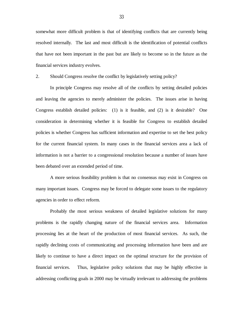somewhat more difficult problem is that of identifying conflicts that are currently being resolved internally. The last and most difficult is the identification of potential conflicts that have not been important in the past but are likely to become so in the future as the financial services industry evolves.

#### 2. Should Congress resolve the conflict by legislatively setting policy?

In principle Congress may resolve all of the conflicts by setting detailed policies and leaving the agencies to merely administer the policies. The issues arise in having Congress establish detailed policies: (1) is it feasible, and (2) is it desirable? One consideration in determining whether it is feasible for Congress to establish detailed policies is whether Congress has sufficient information and expertise to set the best policy for the current financial system. In many cases in the financial services area a lack of information is not a barrier to a congressional resolution because a number of issues have been debated over an extended period of time.

A more serious feasibility problem is that no consensus may exist in Congress on many important issues. Congress may be forced to delegate some issues to the regulatory agencies in order to effect reform.

Probably the most serious weakness of detailed legislative solutions for many problems is the rapidly changing nature of the financial services area. Information processing lies at the heart of the production of most financial services. As such, the rapidly declining costs of communicating and processing information have been and are likely to continue to have a direct impact on the optimal structure for the provision of financial services. Thus, legislative policy solutions that may be highly effective in addressing conflicting goals in 2000 may be virtually irrelevant to addressing the problems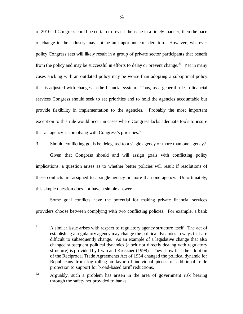of 2010. If Congress could be certain to revisit the issue in a timely manner, then the pace of change in the industry may not be an important consideration. However, whatever policy Congress sets will likely result in a group of private sector participants that benefit from the policy and may be successful in efforts to delay or prevent change.<sup>31</sup> Yet in many cases sticking with an outdated policy may be worse than adopting a suboptimal policy that is adjusted with changes in the financial system. Thus, as a general rule in financial services Congress should seek to set priorities and to hold the agencies accountable but provide flexibility in implementation to the agencies. Probably the most important exception to this rule would occur in cases where Congress lacks adequate tools to insure that an agency is complying with Congress's priorities. $32$ 

3. Should conflicting goals be delegated to a single agency or more than one agency?

Given that Congress should and will assign goals with conflicting policy implications, a question arises as to whether better policies will result if resolutions of these conflicts are assigned to a single agency or more than one agency. Unfortunately, this simple question does not have a simple answer.

Some goal conflicts have the potential for making private financial services providers choose between complying with two conflicting policies. For example, a bank

 $31$ A similar issue arises with respect to regulatory agency structure itself. The act of establishing a regulatory agency may change the political dynamics in ways that are difficult to subsequently change. As an example of a legislative change that also changed subsequent political dynamics (albeit not directly dealing with regulatory structure) is provided by Irwin and Kroszner (1998). They show that the adoption of the Reciprocal Trade Agreements Act of 1934 changed the political dynamic for Republicans from log-rolling in favor of individual pieces of additional trade protection to support for broad-based tariff reductions.

 $32$  Arguably, such a problem has arisen in the area of government risk bearing through the safety net provided to banks.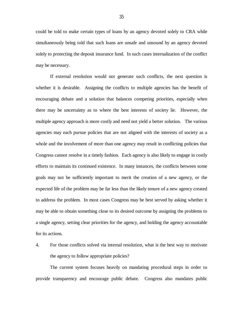could be told to make certain types of loans by an agency devoted solely to CRA while simultaneously being told that such loans are unsafe and unsound by an agency devoted solely to protecting the deposit insurance fund. In such cases internalization of the conflict may be necessary.

If external resolution would not generate such conflicts, the next question is whether it is desirable. Assigning the conflicts to multiple agencies has the benefit of encouraging debate and a solution that balances competing priorities, especially when there may be uncertainty as to where the best interests of society lie. However, the multiple agency approach is more costly and need not yield a better solution. The various agencies may each pursue policies that are not aligned with the interests of society as a whole and the involvement of more than one agency may result in conflicting policies that Congress cannot resolve in a timely fashion. Each agency is also likely to engage in costly efforts to maintain its continued existence. In many instances, the conflicts between some goals may not be sufficiently important to merit the creation of a new agency, or the expected life of the problem may be far less than the likely tenure of a new agency created to address the problem. In most cases Congress may be best served by asking whether it may be able to obtain something close to its desired outcome by assigning the problems to a single agency, setting clear priorities for the agency, and holding the agency accountable for its actions.

4. For those conflicts solved via internal resolution, what is the best way to motivate the agency to follow appropriate policies?

The current system focuses heavily on mandating procedural steps in order to provide transparency and encourage public debate. Congress also mandates public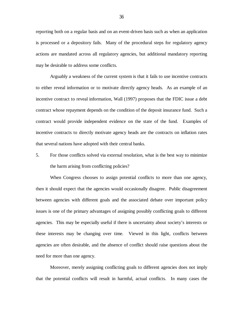reporting both on a regular basis and on an event-driven basis such as when an application is processed or a depository fails. Many of the procedural steps for regulatory agency actions are mandated across all regulatory agencies, but additional mandatory reporting may be desirable to address some conflicts.

Arguably a weakness of the current system is that it fails to use incentive contracts to either reveal information or to motivate directly agency heads. As an example of an incentive contract to reveal information, Wall (1997) proposes that the FDIC issue a debt contract whose repayment depends on the condition of the deposit insurance fund. Such a contract would provide independent evidence on the state of the fund. Examples of incentive contracts to directly motivate agency heads are the contracts on inflation rates that several nations have adopted with their central banks.

5. For those conflicts solved via external resolution, what is the best way to minimize the harm arising from conflicting policies?

When Congress chooses to assign potential conflicts to more than one agency, then it should expect that the agencies would occasionally disagree. Public disagreement between agencies with different goals and the associated debate over important policy issues is one of the primary advantages of assigning possibly conflicting goals to different agencies. This may be especially useful if there is uncertainty about society's interests or these interests may be changing over time. Viewed in this light, conflicts between agencies are often desirable, and the absence of conflict should raise questions about the need for more than one agency.

Moreover, merely assigning conflicting goals to different agencies does not imply that the potential conflicts will result in harmful, actual conflicts. In many cases the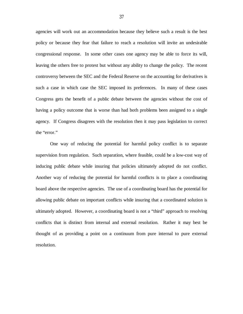agencies will work out an accommodation because they believe such a result is the best policy or because they fear that failure to reach a resolution will invite an undesirable congressional response. In some other cases one agency may be able to force its will, leaving the others free to protest but without any ability to change the policy. The recent controversy between the SEC and the Federal Reserve on the accounting for derivatives is such a case in which case the SEC imposed its preferences. In many of these cases Congress gets the benefit of a public debate between the agencies without the cost of having a policy outcome that is worse than had both problems been assigned to a single agency. If Congress disagrees with the resolution then it may pass legislation to correct the "error."

One way of reducing the potential for harmful policy conflict is to separate supervision from regulation. Such separation, where feasible, could be a low-cost way of inducing public debate while insuring that policies ultimately adopted do not conflict. Another way of reducing the potential for harmful conflicts is to place a coordinating board above the respective agencies. The use of a coordinating board has the potential for allowing public debate on important conflicts while insuring that a coordinated solution is ultimately adopted. However, a coordinating board is not a "third" approach to resolving conflicts that is distinct from internal and external resolution. Rather it may best be thought of as providing a point on a continuum from pure internal to pure external resolution.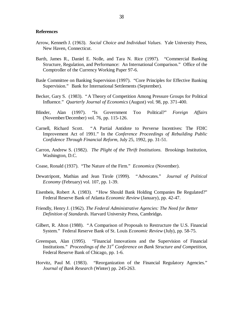#### **References**

- Arrow, Kenneth J. (1963). *Social Choice and Individual Values*. Yale University Press, New Haven, Connecticut.
- Barth, James R., Daniel E. Nolle, and Tara N. Rice (1997). "Commercial Banking Structure, Regulation, and Performance: An International Comparison." Office of the Comptroller of the Currency Working Paper 97-6.
- Basle Committee on Banking Supervision (1997). "Core Principles for Effective Banking Supervision." Bank for International Settlements (September).
- Becker, Gary S. (1983). "A Theory of Competition Among Pressure Groups for Political Influence." *Quarterly Journal of Economics* (August) vol. 98, pp. 371-400.
- Blinder, Alan (1997). "Is Government Too Political?" *Foreign Affairs* (November/December) vol. 76, pp. 115-126.
- Carnell, Richard Scott. "A Partial Antidote to Perverse Incentives: The FDIC Improvement Act of 1991." In the *Conference Proceedings of Rebuilding Public Confidence Through Financial Reform*, July 25, 1992, pp. 31-51.
- Carron, Andrew S. (1982). *The Plight of the Thrift Institutions*. Brookings Institution, Washington, D.C.
- Coase, Ronald (1937). "The Nature of the Firm." *Economica* (November).
- Dewatripont, Mathias and Jean Tirole (1999). "Advocates." *Journal of Political Economy* (February) vol. 107, pp. 1-39.
- Eisenbeis, Robert A. (1983). "How Should Bank Holding Companies Be Regulated?" Federal Reserve Bank of Atlanta *Economic Review* (January), pp. 42-47.
- Friendly, Henry J. (1962). *The Federal Administrative Agencies: The Need for Better Definition of Standards*. Harvard University Press, Cambridge**.**
- Gilbert, R. Alton (1988). "A Comparison of Proposals to Restructure the U.S. Financial System." Federal Reserve Bank of St. Louis *Economic Review* (July), pp. 58-75.
- Greenspan, Alan (1995). "Financial Innovations and the Supervision of Financial Institutions." *Proceedings of the 31st Conference on Bank Structure and Competition*, Federal Reserve Bank of Chicago, pp. 1-6.
- Horvitz, Paul M. (1983). "Reorganization of the Financial Regulatory Agencies." *Journal of Bank Research* (Winter) pp. 245-263.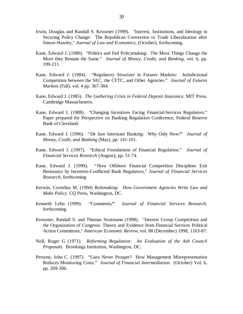- Irwin, Douglas and Randall S. Kroszner (1999). "Interest, Institutions, and Ideology in Securing Policy Change: The Republican Conversion to Trade Liberalization after Smoot-Hawley," *Journal of Law and Economics*, (October), forthcoming.
- Kane, Edward J. (1980). "Politics and Fed Policymaking: The More Things Change the More they Remain the Same." *Journal of Money, Credit, and Banking*, vol. 6, pp. 199-211.
- Kane, Edward J. (1984). "Regulatory Structure in Futures Markets: Jurisdictional Competition between the SEC, the CFTC, and Other Agencies." *Journal of Futures Markets* (Fall), vol. 4 pp. 367-384.
- Kane, Edward J. (1985). *The Gathering Crisis in Federal Deposit Insurance.* MIT Press, Cambridge Massachusetts.
- Kane, Edward J. (1988). "Changing Incentives Facing Financial-Services Regulators." Paper prepared for Perspective on Banking Regulation Conference, Federal Reserve Bank of Cleveland.
- Kane, Edward J. (1996). "De Jure Interstate Banking: Why Only Now?" *Journal of Money, Credit, and Banking* (May), pp. 141-161.
- Kane, Edward J. (1997). "Ethical Foundations of Financial Regulation." *Journal of Financial Services Research* (August), pp. 51-74*.*
- Kane, Edward J. (1999). "How Offshore Financial Competition Disciplines Exit Resistance by Incentive-Conflicted Bank Regulators," *Journal of Financial Services Research,* forthcoming
- Kerwin, Cornelius M. (1994) *Rulemaking: How Government Agencies Write Law and Make Policy*. CQ Press, Washington, DC.
- Kenneth Lehn (1999). "Comments**."** *Journal of Financial Services Research,* forthcoming.
- Kroszner, Randall S. and Thomas Stratmann (1998). "Interest Group Competition and the Organization of Congress: Theory and Evidence from Financial Services Political Action Committees," *American Economic Review*, vol. 88 (December) 1998, 1163-87.
- Noll, Roger G (1971). *Reforming Regulation: An Evaluation of the Ash Council Proposals.* Brookings Institution, Washington, DC.
- Persons, John C. (1997). "Liars Never Prosper? How Management Misrepresentation Reduces Monitoring Costs." *Journal of Financial Intermediation*. (October) Vol. 6, pp. 269-306.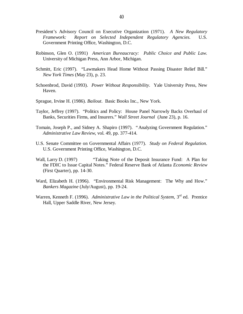- President's Advisory Council on Executive Organization (1971). *A New Regulatory Framework: Report on Selected Independent Regulatory Agencies.* U.S. Government Printing Office, Washington, D.C.
- Robinson, Glen O. (1991) *American Bureaucracy: Public Choice and Public Law*. University of Michigan Press, Ann Arbor, Michigan.
- Schmitt, Eric (1997). "Lawmakers Head Home Without Passing Disaster Relief Bill." *New York Times* (May 23), p. 23.
- Schoenbrod, David (1993). *Power Without Responsibility*. Yale University Press, New Haven.
- Sprague, Irvine H. (1986). *Bailout*. Basic Books Inc., New York.
- Taylor, Jeffrey (1997). "Politics and Policy: House Panel Narrowly Backs Overhaul of Banks, Securities Firms, and Insurers." *Wall Street Journal* (June 23), p. 16.
- Tomain, Joseph P., and Sidney A. Shapiro (1997). "Analyzing Government Regulation." *Administrative Law Review*, vol. 49, pp. 377-414.
- U.S. Senate Committee on Governmental Affairs (1977). *Study on Federal Regulation*. U.S. Government Printing Office, Washington, D.C.
- Wall, Larry D. (1997) "Taking Note of the Deposit Insurance Fund: A Plan for the FDIC to Issue Capital Notes." Federal Reserve Bank of Atlanta *Economic Review* (First Quarter), pp. 14-30.
- Ward, Elizabeth H. (1996). "Environmental Risk Management: The Why and How." *Bankers Magazine* (July/August), pp. 19-24.
- Warren, Kenneth F. (1996). Administrative Law in the Political System, 3<sup>rd</sup> ed. Prentice Hall, Upper Saddle River, New Jersey.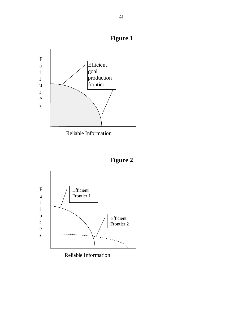



Reliable Information

**Figure 2**